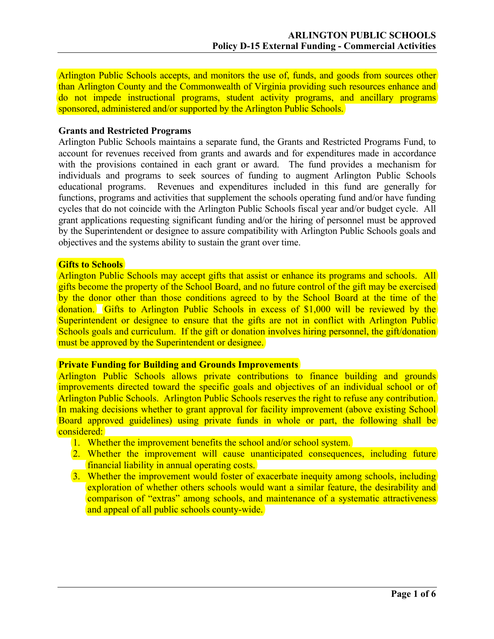Arlington Public Schools accepts, and monitors the use of, funds, and goods from sources other than Arlington County and the Commonwealth of Virginia providing such resources enhance and do not impede instructional programs, student activity programs, and ancillary programs sponsored, administered and/or supported by the Arlington Public Schools.

### **Grants and Restricted Programs**

Arlington Public Schools maintains a separate fund, the Grants and Restricted Programs Fund, to account for revenues received from grants and awards and for expenditures made in accordance with the provisions contained in each grant or award. The fund provides a mechanism for individuals and programs to seek sources of funding to augment Arlington Public Schools educational programs. Revenues and expenditures included in this fund are generally for functions, programs and activities that supplement the schools operating fund and/or have funding cycles that do not coincide with the Arlington Public Schools fiscal year and/or budget cycle. All grant applications requesting significant funding and/or the hiring of personnel must be approved by the Superintendent or designee to assure compatibility with Arlington Public Schools goals and objectives and the systems ability to sustain the grant over time.

### **Gifts to Schools**

Arlington Public Schools may accept gifts that assist or enhance its programs and schools. All gifts become the property of the School Board, and no future control of the gift may be exercised by the donor other than those conditions agreed to by the School Board at the time of the donation. Gifts to Arlington Public Schools in excess of \$1,000 will be reviewed by the Superintendent or designee to ensure that the gifts are not in conflict with Arlington Public Schools goals and curriculum. If the gift or donation involves hiring personnel, the gift/donation must be approved by the Superintendent or designee.

### **Private Funding for Building and Grounds Improvements**

Arlington Public Schools allows private contributions to finance building and grounds improvements directed toward the specific goals and objectives of an individual school or of Arlington Public Schools. Arlington Public Schools reserves the right to refuse any contribution. In making decisions whether to grant approval for facility improvement (above existing School) Board approved guidelines) using private funds in whole or part, the following shall be considered:

- 1. Whether the improvement benefits the school and/or school system.
- 2. Whether the improvement will cause unanticipated consequences, including future financial liability in annual operating costs.
- 3. Whether the improvement would foster of exacerbate inequity among schools, including exploration of whether others schools would want a similar feature, the desirability and comparison of "extras" among schools, and maintenance of a systematic attractiveness and appeal of all public schools county-wide.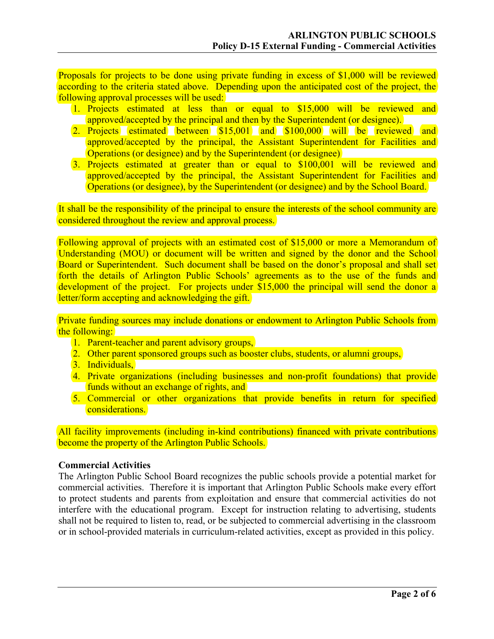Proposals for projects to be done using private funding in excess of \$1,000 will be reviewed according to the criteria stated above. Depending upon the anticipated cost of the project, the following approval processes will be used:

- 1. Projects estimated at less than or equal to \$15,000 will be reviewed and approved/accepted by the principal and then by the Superintendent (or designee).
- 2. Projects estimated between \$15,001 and \$100,000 will be reviewed and approved/accepted by the principal, the Assistant Superintendent for Facilities and Operations (or designee) and by the Superintendent (or designee)
- 3. Projects estimated at greater than or equal to \$100,001 will be reviewed and approved/accepted by the principal, the Assistant Superintendent for Facilities and Operations (or designee), by the Superintendent (or designee) and by the School Board.

It shall be the responsibility of the principal to ensure the interests of the school community are considered throughout the review and approval process.

Following approval of projects with an estimated cost of \$15,000 or more a Memorandum of Understanding (MOU) or document will be written and signed by the donor and the School Board or Superintendent. Such document shall be based on the donor's proposal and shall set forth the details of Arlington Public Schools' agreements as to the use of the funds and development of the project. For projects under \$15,000 the principal will send the donor a letter/form accepting and acknowledging the gift.

Private funding sources may include donations or endowment to Arlington Public Schools from the following:

- 1. Parent-teacher and parent advisory groups,
- 2. Other parent sponsored groups such as booster clubs, students, or alumni groups,
- 3. Individuals.
- 4. Private organizations (including businesses and non-profit foundations) that provide funds without an exchange of rights, and
- 5. Commercial or other organizations that provide benefits in return for specified considerations.

All facility improvements (including in-kind contributions) financed with private contributions become the property of the Arlington Public Schools.

### **Commercial Activities**

The Arlington Public School Board recognizes the public schools provide a potential market for commercial activities. Therefore it is important that Arlington Public Schools make every effort to protect students and parents from exploitation and ensure that commercial activities do not interfere with the educational program. Except for instruction relating to advertising, students shall not be required to listen to, read, or be subjected to commercial advertising in the classroom or in school-provided materials in curriculum-related activities, except as provided in this policy.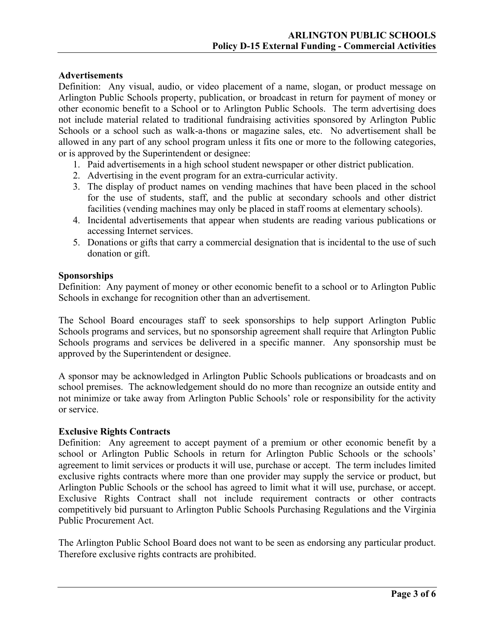### **Advertisements**

Definition: Any visual, audio, or video placement of a name, slogan, or product message on Arlington Public Schools property, publication, or broadcast in return for payment of money or other economic benefit to a School or to Arlington Public Schools. The term advertising does not include material related to traditional fundraising activities sponsored by Arlington Public Schools or a school such as walk-a-thons or magazine sales, etc. No advertisement shall be allowed in any part of any school program unless it fits one or more to the following categories, or is approved by the Superintendent or designee:

- 1. Paid advertisements in a high school student newspaper or other district publication.
- 2. Advertising in the event program for an extra-curricular activity.
- 3. The display of product names on vending machines that have been placed in the school for the use of students, staff, and the public at secondary schools and other district facilities (vending machines may only be placed in staff rooms at elementary schools).
- 4. Incidental advertisements that appear when students are reading various publications or accessing Internet services.
- 5. Donations or gifts that carry a commercial designation that is incidental to the use of such donation or gift.

### **Sponsorships**

Definition: Any payment of money or other economic benefit to a school or to Arlington Public Schools in exchange for recognition other than an advertisement.

The School Board encourages staff to seek sponsorships to help support Arlington Public Schools programs and services, but no sponsorship agreement shall require that Arlington Public Schools programs and services be delivered in a specific manner. Any sponsorship must be approved by the Superintendent or designee.

A sponsor may be acknowledged in Arlington Public Schools publications or broadcasts and on school premises. The acknowledgement should do no more than recognize an outside entity and not minimize or take away from Arlington Public Schools' role or responsibility for the activity or service.

## **Exclusive Rights Contracts**

Definition: Any agreement to accept payment of a premium or other economic benefit by a school or Arlington Public Schools in return for Arlington Public Schools or the schools' agreement to limit services or products it will use, purchase or accept. The term includes limited exclusive rights contracts where more than one provider may supply the service or product, but Arlington Public Schools or the school has agreed to limit what it will use, purchase, or accept. Exclusive Rights Contract shall not include requirement contracts or other contracts competitively bid pursuant to Arlington Public Schools Purchasing Regulations and the Virginia Public Procurement Act.

The Arlington Public School Board does not want to be seen as endorsing any particular product. Therefore exclusive rights contracts are prohibited.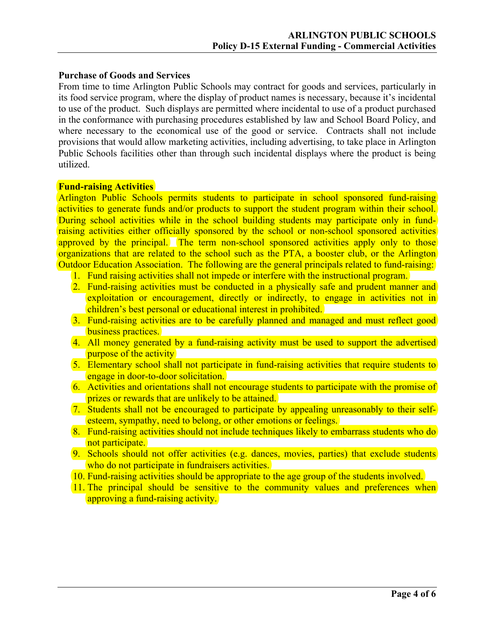## **Purchase of Goods and Services**

From time to time Arlington Public Schools may contract for goods and services, particularly in its food service program, where the display of product names is necessary, because it's incidental to use of the product. Such displays are permitted where incidental to use of a product purchased in the conformance with purchasing procedures established by law and School Board Policy, and where necessary to the economical use of the good or service. Contracts shall not include provisions that would allow marketing activities, including advertising, to take place in Arlington Public Schools facilities other than through such incidental displays where the product is being utilized.

### **Fund-raising Activities**

Arlington Public Schools permits students to participate in school sponsored fund-raising activities to generate funds and/or products to support the student program within their school. During school activities while in the school building students may participate only in fundraising activities either officially sponsored by the school or non-school sponsored activities approved by the principal. The term non-school sponsored activities apply only to those organizations that are related to the school such as the PTA, a booster club, or the Arlington Outdoor Education Association. The following are the general principals related to fund-raising:

- 1. Fund raising activities shall not impede or interfere with the instructional program.
- 2. Fund-raising activities must be conducted in a physically safe and prudent manner and exploitation or encouragement, directly or indirectly, to engage in activities not in children's best personal or educational interest in prohibited.
- 3. Fund-raising activities are to be carefully planned and managed and must reflect good business practices.
- 4. All money generated by a fund-raising activity must be used to support the advertised purpose of the activity
- 5. Elementary school shall not participate in fund-raising activities that require students to engage in door-to-door solicitation.
- 6. Activities and orientations shall not encourage students to participate with the promise of prizes or rewards that are unlikely to be attained.
- 7. Students shall not be encouraged to participate by appealing unreasonably to their selfesteem, sympathy, need to belong, or other emotions or feelings.
- 8. Fund-raising activities should not include techniques likely to embarrass students who do not participate.
- 9. Schools should not offer activities (e.g. dances, movies, parties) that exclude students who do not participate in fundraisers activities.
- 10. Fund-raising activities should be appropriate to the age group of the students involved.
- 11. The principal should be sensitive to the community values and preferences when approving a fund-raising activity.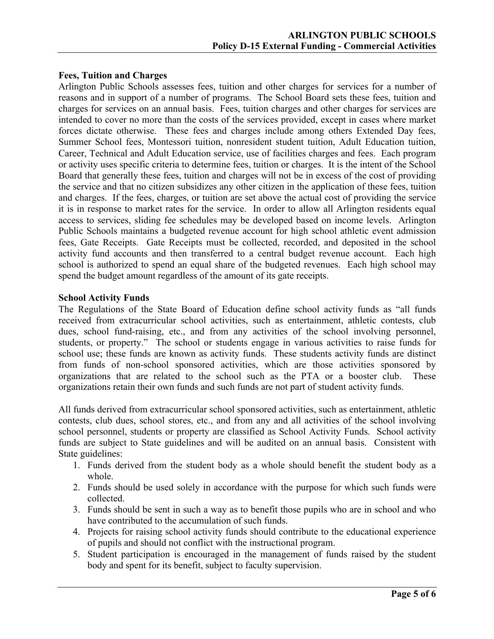## **Fees, Tuition and Charges**

Arlington Public Schools assesses fees, tuition and other charges for services for a number of reasons and in support of a number of programs. The School Board sets these fees, tuition and charges for services on an annual basis. Fees, tuition charges and other charges for services are intended to cover no more than the costs of the services provided, except in cases where market forces dictate otherwise. These fees and charges include among others Extended Day fees, Summer School fees, Montessori tuition, nonresident student tuition, Adult Education tuition, Career, Technical and Adult Education service, use of facilities charges and fees. Each program or activity uses specific criteria to determine fees, tuition or charges. It is the intent of the School Board that generally these fees, tuition and charges will not be in excess of the cost of providing the service and that no citizen subsidizes any other citizen in the application of these fees, tuition and charges. If the fees, charges, or tuition are set above the actual cost of providing the service it is in response to market rates for the service. In order to allow all Arlington residents equal access to services, sliding fee schedules may be developed based on income levels. Arlington Public Schools maintains a budgeted revenue account for high school athletic event admission fees, Gate Receipts. Gate Receipts must be collected, recorded, and deposited in the school activity fund accounts and then transferred to a central budget revenue account. Each high school is authorized to spend an equal share of the budgeted revenues. Each high school may spend the budget amount regardless of the amount of its gate receipts.

### **School Activity Funds**

The Regulations of the State Board of Education define school activity funds as "all funds received from extracurricular school activities, such as entertainment, athletic contests, club dues, school fund-raising, etc., and from any activities of the school involving personnel, students, or property." The school or students engage in various activities to raise funds for school use; these funds are known as activity funds. These students activity funds are distinct from funds of non-school sponsored activities, which are those activities sponsored by organizations that are related to the school such as the PTA or a booster club. These organizations retain their own funds and such funds are not part of student activity funds.

All funds derived from extracurricular school sponsored activities, such as entertainment, athletic contests, club dues, school stores, etc., and from any and all activities of the school involving school personnel, students or property are classified as School Activity Funds. School activity funds are subject to State guidelines and will be audited on an annual basis. Consistent with State guidelines:

- 1. Funds derived from the student body as a whole should benefit the student body as a whole.
- 2. Funds should be used solely in accordance with the purpose for which such funds were collected.
- 3. Funds should be sent in such a way as to benefit those pupils who are in school and who have contributed to the accumulation of such funds.
- 4. Projects for raising school activity funds should contribute to the educational experience of pupils and should not conflict with the instructional program.
- 5. Student participation is encouraged in the management of funds raised by the student body and spent for its benefit, subject to faculty supervision.